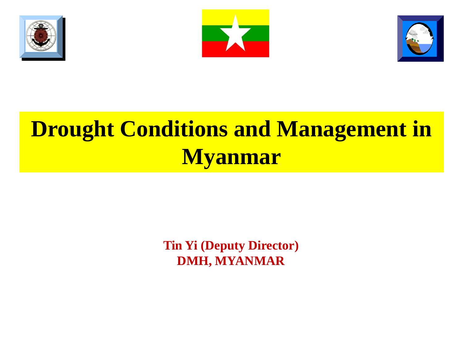





# **Drought Conditions and Management in Myanmar**

**Tin Yi (Deputy Director) DMH, MYANMAR**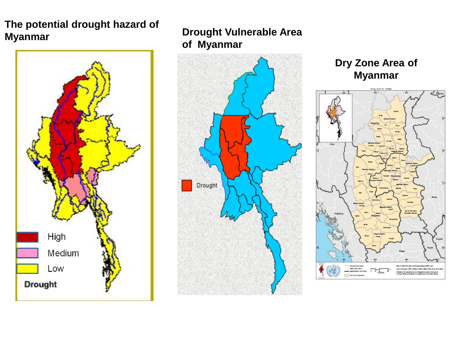#### **The potential drought hazard of Myanmar**



#### **Drought Vulnerable Area of Myanmar**



#### **Dry Zone Area of Myanmar**

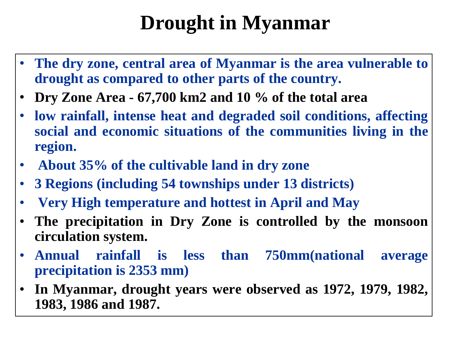# **Drought in Myanmar**

- **The dry zone, central area of Myanmar is the area vulnerable to drought as compared to other parts of the country.**
- **Dry Zone Area - 67,700 km2 and 10 % of the total area**
- **low rainfall, intense heat and degraded soil conditions, affecting social and economic situations of the communities living in the region.**
- **About 35% of the cultivable land in dry zone**
- **3 Regions (including 54 townships under 13 districts)**
- **Very High temperature and hottest in April and May**
- **The precipitation in Dry Zone is controlled by the monsoon circulation system.**
- **Annual rainfall is less than 750mm(national average precipitation is 2353 mm)**
- **In Myanmar, drought years were observed as 1972, 1979, 1982, 1983, 1986 and 1987.**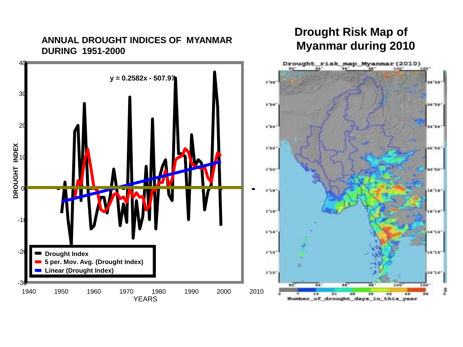#### **ANNUAL DROUGHT INDICES OF MYANMAR DURING 1951-2000**

### **Drought Risk Map of Myanmar during 2010**

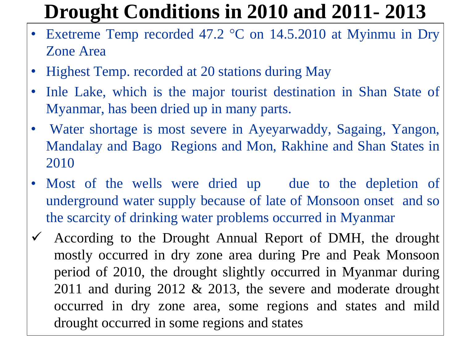# **Drought Conditions in 2010 and 2011- 2013**

- Exetreme Temp recorded 47.2 °C on 14.5.2010 at Myinmu in Dry Zone Area
- Highest Temp. recorded at 20 stations during May
- Inle Lake, which is the major tourist destination in Shan State of Myanmar, has been dried up in many parts.
- Water shortage is most severe in Ayeyarwaddy, Sagaing, Yangon, Mandalay and Bago Regions and Mon, Rakhine and Shan States in 2010
- Most of the wells were dried up due to the depletion of underground water supply because of late of Monsoon onset and so the scarcity of drinking water problems occurred in Myanmar
- $\checkmark$  According to the Drought Annual Report of DMH, the drought mostly occurred in dry zone area during Pre and Peak Monsoon period of 2010, the drought slightly occurred in Myanmar during 2011 and during 2012 & 2013, the severe and moderate drought occurred in dry zone area, some regions and states and mild drought occurred in some regions and states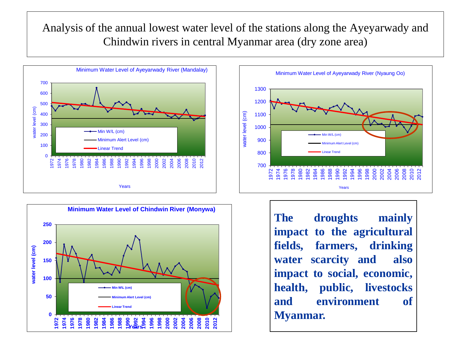Analysis of the annual lowest water level of the stations along the Ayeyarwady and Chindwin rivers in central Myanmar area (dry zone area)







**The droughts mainly impact to the agricultural fields, farmers, drinking water scarcity and also impact to social, economic, health, public, livestocks and environment of Myanmar.**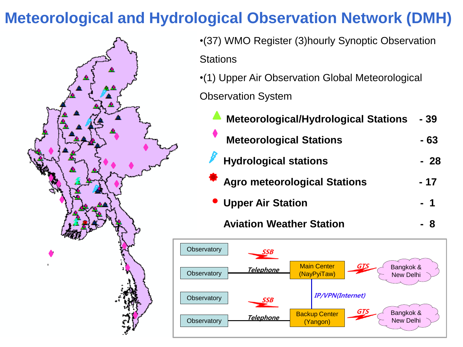## **Meteorological and Hydrological Observation Network (DMH)**



•(37) WMO Register (3)hourly Synoptic Observation **Stations** 

•(1) Upper Air Observation Global Meteorological Observation System

| <b>Meteorological/Hydrological Stations</b> | - 39  |
|---------------------------------------------|-------|
| <b>Meteorological Stations</b>              | - 63  |
| <b>Hydrological stations</b>                | - 28  |
| <b>Agro meteorological Stations</b>         | $-17$ |
| • Upper Air Station                         | - 1   |
| <b>Aviation Weather Station</b>             |       |

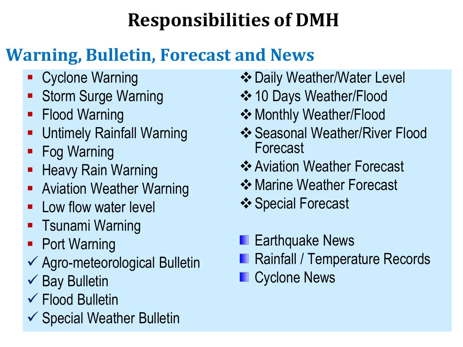# **Responsibilities of DMH**

# **Warning, Bulletin, Forecast and News**

- Cyclone Warning
- **Storm Surge Warning**
- Flood Warning
- Untimely Rainfall Warning
- **Fog Warning**
- **Heavy Rain Warning**
- **-** Aviation Weather Warning
- Low flow water level
- **-** Tsunami Warning
- Port Warning
- Agro-meteorological Bulletin
- $\checkmark$  Bay Bulletin
- $\checkmark$  Flood Bulletin
- $\checkmark$  Special Weather Bulletin
- **❖ Daily Weather/Water Level**
- **❖ 10 Days Weather/Flood**
- **❖ Monthly Weather/Flood**
- $\div$  **Seasonal Weather/River Flood** Forecast
- **<sup>❖</sup> Aviation Weather Forecast**
- **❖ Marine Weather Forecast**
- **❖ Special Forecast**
- Earthquake News
- **Rainfall / Temperature Records**
- **Cyclone News**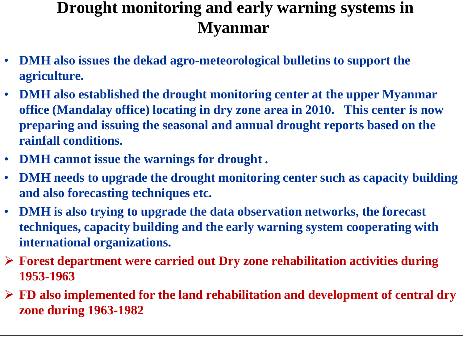## **Drought monitoring and early warning systems in Myanmar**

- **DMH also issues the dekad agro-meteorological bulletins to support the agriculture.**
- **DMH also established the drought monitoring center at the upper Myanmar office (Mandalay office) locating in dry zone area in 2010. This center is now preparing and issuing the seasonal and annual drought reports based on the rainfall conditions.**
- **DMH cannot issue the warnings for drought .**
- **DMH needs to upgrade the drought monitoring center such as capacity building and also forecasting techniques etc.**
- **DMH is also trying to upgrade the data observation networks, the forecast techniques, capacity building and the early warning system cooperating with international organizations.**
- **Forest department were carried out Dry zone rehabilitation activities during 1953-1963**
- **FD also implemented for the land rehabilitation and development of central dry zone during 1963-1982**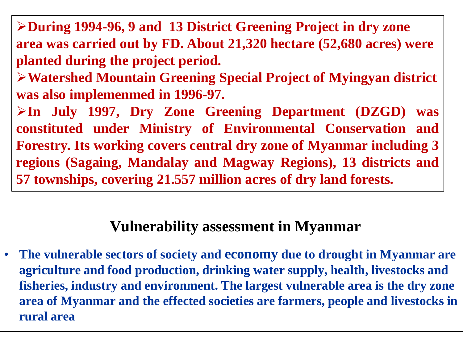**During 1994-96, 9 and 13 District Greening Project in dry zone area was carried out by FD. About 21,320 hectare (52,680 acres) were planted during the project period.**

**Watershed Mountain Greening Special Project of Myingyan district was also implemenmed in 1996-97.**

**In July 1997, Dry Zone Greening Department (DZGD) was constituted under Ministry of Environmental Conservation and Forestry. Its working covers central dry zone of Myanmar including 3 regions (Sagaing, Mandalay and Magway Regions), 13 districts and 57 townships, covering 21.557 million acres of dry land forests.**

## **Vulnerability assessment in Myanmar**

• **The vulnerable sectors of society and economy due to drought in Myanmar are agriculture and food production, drinking water supply, health, livestocks and fisheries, industry and environment. The largest vulnerable area is the dry zone area of Myanmar and the effected societies are farmers, people and livestocks in rural area**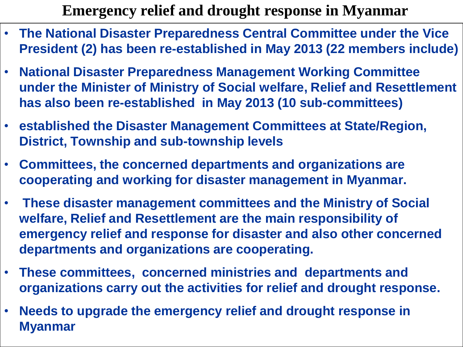**Emergency relief and drought response in Myanmar**

- **The National Disaster Preparedness Central Committee under the Vice President (2) has been re-established in May 2013 (22 members include)**
- **National Disaster Preparedness Management Working Committee under the Minister of Ministry of Social welfare, Relief and Resettlement has also been re-established in May 2013 (10 sub-committees)**
- **established the Disaster Management Committees at State/Region, District, Township and sub-township levels**
- **Committees, the concerned departments and organizations are cooperating and working for disaster management in Myanmar.**
- **These disaster management committees and the Ministry of Social welfare, Relief and Resettlement are the main responsibility of emergency relief and response for disaster and also other concerned departments and organizations are cooperating.**
- **These committees, concerned ministries and departments and organizations carry out the activities for relief and drought response.**
- **Needs to upgrade the emergency relief and drought response in Myanmar**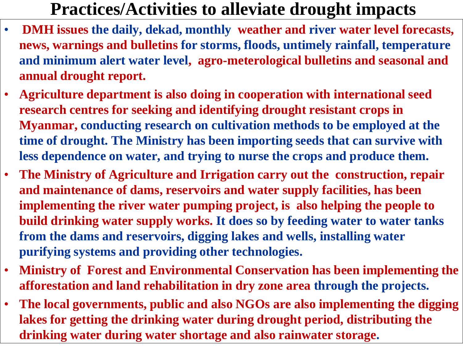## **Practices/Activities to alleviate drought impacts**

- **DMH issues the daily, dekad, monthly weather and river water level forecasts, news, warnings and bulletins for storms, floods, untimely rainfall, temperature and minimum alert water level, agro-meterological bulletins and seasonal and annual drought report.**
- **Agriculture department is also doing in cooperation with international seed research centres for seeking and identifying drought resistant crops in Myanmar, conducting research on cultivation methods to be employed at the time of drought. The Ministry has been importing seeds that can survive with less dependence on water, and trying to nurse the crops and produce them.**
- **The Ministry of Agriculture and Irrigation carry out the construction, repair and maintenance of dams, reservoirs and water supply facilities, has been implementing the river water pumping project, is also helping the people to build drinking water supply works. It does so by feeding water to water tanks from the dams and reservoirs, digging lakes and wells, installing water purifying systems and providing other technologies.**
- **Ministry of Forest and Environmental Conservation has been implementing the afforestation and land rehabilitation in dry zone area through the projects.**
- **The local governments, public and also NGOs are also implementing the digging lakes for getting the drinking water during drought period, distributing the drinking water during water shortage and also rainwater storage.**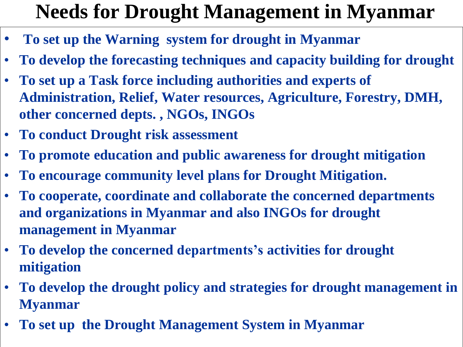# **Needs for Drought Management in Myanmar**

- **To set up the Warning system for drought in Myanmar**
- **To develop the forecasting techniques and capacity building for drought**
- **To set up a Task force including authorities and experts of Administration, Relief, Water resources, Agriculture, Forestry, DMH, other concerned depts. , NGOs, INGOs**
- **To conduct Drought risk assessment**
- **To promote education and public awareness for drought mitigation**
- **To encourage community level plans for Drought Mitigation.**
- **To cooperate, coordinate and collaborate the concerned departments and organizations in Myanmar and also INGOs for drought management in Myanmar**
- **To develop the concerned departments's activities for drought mitigation**
- **To develop the drought policy and strategies for drought management in Myanmar**
- **To set up the Drought Management System in Myanmar**